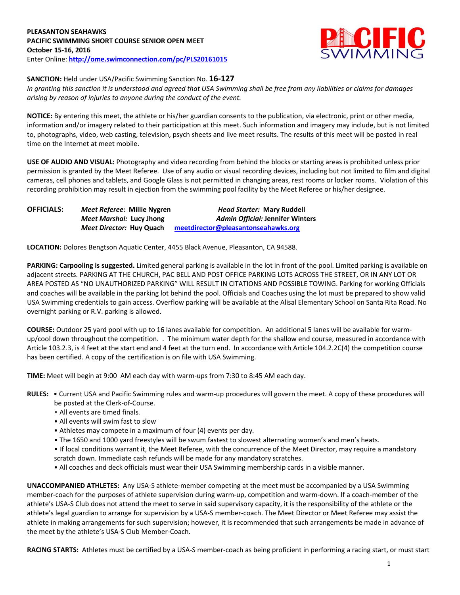# **PLEASANTON SEAHAWKS PACIFIC SWIMMING SHORT COURSE SENIOR OPEN MEET October 15-16, 2016** Enter Online: **<http://ome.swimconnection.com/pc/PLS20161015>**



# **SANCTION:** Held under USA/Pacific Swimming Sanction No. **16-127**

*In granting this sanction it is understood and agreed that USA Swimming shall be free from any liabilities or claims for damages arising by reason of injuries to anyone during the conduct of the event.*

**NOTICE:** By entering this meet, the athlete or his/her guardian consents to the publication, via electronic, print or other media, information and/or imagery related to their participation at this meet. Such information and imagery may include, but is not limited to, photographs, video, web casting, television, psych sheets and live meet results. The results of this meet will be posted in real time on the Internet at meet mobile.

**USE OF AUDIO AND VISUAL:** Photography and video recording from behind the blocks or starting areas is prohibited unless prior permission is granted by the Meet Referee. Use of any audio or visual recording devices, including but not limited to film and digital cameras, cell phones and tablets, and Google Glass is not permitted in changing areas, rest rooms or locker rooms. Violation of this recording prohibition may result in ejection from the swimming pool facility by the Meet Referee or his/her designee.

| <b>OFFICIALS:</b> | Meet Referee: Millie Nygren     | <b>Head Starter: Mary Ruddell</b>       |  |  |  |  |  |
|-------------------|---------------------------------|-----------------------------------------|--|--|--|--|--|
|                   | Meet Marshal: Lucy Jhong        | <b>Admin Official: Jennifer Winters</b> |  |  |  |  |  |
|                   | <i>Meet Director:</i> Huy Quach | meetdirector@pleasantonseahawks.org     |  |  |  |  |  |

**LOCATION:** Dolores Bengtson Aquatic Center, 4455 Black Avenue, Pleasanton, CA 94588.

**PARKING: Carpooling is suggested.** Limited general parking is available in the lot in front of the pool. Limited parking is available on adjacent streets. PARKING AT THE CHURCH, PAC BELL AND POST OFFICE PARKING LOTS ACROSS THE STREET, OR IN ANY LOT OR AREA POSTED AS "NO UNAUTHORIZED PARKING" WILL RESULT IN CITATIONS AND POSSIBLE TOWING. Parking for working Officials and coaches will be available in the parking lot behind the pool. Officials and Coaches using the lot must be prepared to show valid USA Swimming credentials to gain access. Overflow parking will be available at the Alisal Elementary School on Santa Rita Road. No overnight parking or R.V. parking is allowed.

**COURSE:** Outdoor 25 yard pool with up to 16 lanes available for competition. An additional 5 lanes will be available for warmup/cool down throughout the competition. . The minimum water depth for the shallow end course, measured in accordance with Article 103.2.3, is 4 feet at the start end and 4 feet at the turn end. In accordance with Article 104.2.2C(4) the competition course has been certified. A copy of the certification is on file with USA Swimming.

**TIME:** Meet will begin at 9:00 AM each day with warm-ups from 7:30 to 8:45 AM each day.

- **RULES:** Current USA and Pacific Swimming rules and warm-up procedures will govern the meet. A copy of these procedures will be posted at the Clerk-of-Course.
	- All events are timed finals.
	- All events will swim fast to slow
	- Athletes may compete in a maximum of four (4) events per day.
	- The 1650 and 1000 yard freestyles will be swum fastest to slowest alternating women's and men's heats.
	- If local conditions warrant it, the Meet Referee, with the concurrence of the Meet Director, may require a mandatory scratch down. Immediate cash refunds will be made for any mandatory scratches.
	- All coaches and deck officials must wear their USA Swimming membership cards in a visible manner.

**UNACCOMPANIED ATHLETES:** Any USA-S athlete-member competing at the meet must be accompanied by a USA Swimming member-coach for the purposes of athlete supervision during warm-up, competition and warm-down. If a coach-member of the athlete's USA-S Club does not attend the meet to serve in said supervisory capacity, it is the responsibility of the athlete or the athlete's legal guardian to arrange for supervision by a USA-S member-coach. The Meet Director or Meet Referee may assist the athlete in making arrangements for such supervision; however, it is recommended that such arrangements be made in advance of the meet by the athlete's USA-S Club Member-Coach.

RACING STARTS: Athletes must be certified by a USA-S member-coach as being proficient in performing a racing start, or must start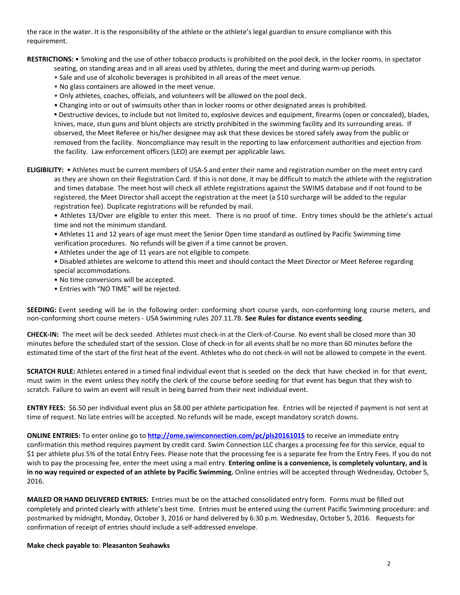the race in the water. It is the responsibility of the athlete or the athlete's legal guardian to ensure compliance with this requirement.

**RESTRICTIONS:** • Smoking and the use of other tobacco products is prohibited on the pool deck, in the locker rooms, in spectator

- seating, on standing areas and in all areas used by athletes, during the meet and during warm-up periods.
- Sale and use of alcoholic beverages is prohibited in all areas of the meet venue.
- No glass containers are allowed in the meet venue.
- Only athletes, coaches, officials, and volunteers will be allowed on the pool deck.
- Changing into or out of swimsuits other than in locker rooms or other designated areas is prohibited.

**•** Destructive devices, to include but not limited to, explosive devices and equipment, firearms (open or concealed), blades, knives, mace, stun guns and blunt objects are strictly prohibited in the swimming facility and its surrounding areas. If observed, the Meet Referee or his/her designee may ask that these devices be stored safely away from the public or removed from the facility. Noncompliance may result in the reporting to law enforcement authorities and ejection from the facility. Law enforcement officers (LEO) are exempt per applicable laws.

**ELIGIBILITY:** • Athletes must be current members of USA-S and enter their name and registration number on the meet entry card as they are shown on their Registration Card. If this is not done, it may be difficult to match the athlete with the registration and times database. The meet host will check all athlete registrations against the SWIMS database and if not found to be registered, the Meet Director shall accept the registration at the meet (a \$10 surcharge will be added to the regular registration fee). Duplicate registrations will be refunded by mail.

• Athletes 13/Over are eligible to enter this meet. There is no proof of time. Entry times should be the athlete's actual time and not the minimum standard.

• Athletes 11 and 12 years of age must meet the Senior Open time standard as outlined by Pacific Swimming time verification procedures. No refunds will be given if a time cannot be proven.

- Athletes under the age of 11 years are not eligible to compete.
- Disabled athletes are welcome to attend this meet and should contact the Meet Director or Meet Referee regarding special accommodations.
- No time conversions will be accepted.
- Entries with "NO TIME" will be rejected.

**SEEDING:** Event seeding will be in the following order: conforming short course yards, non-conforming long course meters, and non-conforming short course meters - USA Swimming rules 207.11.7B. **See Rules for distance events seeding**.

**CHECK-IN:** The meet will be deck seeded. Athletes must check-in at the Clerk-of-Course. No event shall be closed more than 30 minutes before the scheduled start of the session. Close of check‐in for all events shall be no more than 60 minutes before the estimated time of the start of the first heat of the event. Athletes who do not check-in will not be allowed to compete in the event.

**SCRATCH RULE:** Athletes entered in a timed final individual event that is seeded on the deck that have checked in for that event, must swim in the event unless they notify the clerk of the course before seeding for that event has begun that they wish to scratch. Failure to swim an event will result in being barred from their next individual event.

**ENTRY FEES:** \$6.50 per individual event plus an \$8.00 per athlete participation fee. Entries will be rejected if payment is not sent at time of request. No late entries will be accepted. No refunds will be made, except mandatory scratch downs.

**ONLINE ENTRIES:** To enter online go to **<http://ome.swimconnection.com/pc/pls20161015>** to receive an immediate entry confirmation this method requires payment by credit card. Swim Connection LLC charges a processing fee for this service, equal to \$1 per athlete plus 5% of the total Entry Fees. Please note that the processing fee is a separate fee from the Entry Fees. If you do not wish to pay the processing fee, enter the meet using a mail entry. **Entering online is a convenience, is completely voluntary, and is in no way required or expected of an athlete by Pacific Swimming.** Online entries will be accepted through Wednesday, October 5, 2016.

**MAILED OR HAND DELIVERED ENTRIES:** Entries must be on the attached consolidated entry form. Forms must be filled out completely and printed clearly with athlete's best time. Entries must be entered using the current Pacific Swimming procedure: and postmarked by midnight, Monday, October 3, 2016 or hand delivered by 6:30 p.m. Wednesday, October 5, 2016. Requests for confirmation of receipt of entries should include a self-addressed envelope.

#### **Make check payable to: Pleasanton Seahawks**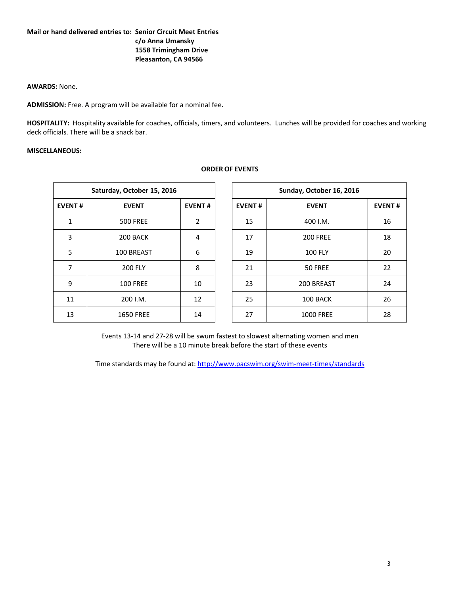### **Mail or hand delivered entries to: Senior Circuit Meet Entries c/o Anna Umansky 1558 Trimingham Drive Pleasanton, CA 94566**

# **AWARDS:** None.

**ADMISSION:** Free. A program will be available for a nominal fee.

**HOSPITALITY:** Hospitality available for coaches, officials, timers, and volunteers. Lunches will be provided for coaches and working deck officials. There will be a snack bar.

**ORDER OF EVENTS**

# **MISCELLANEOUS:**

| Saturday, October 15, 2016 |                  |               |  |
|----------------------------|------------------|---------------|--|
| <b>EVENT#</b>              | <b>EVENT</b>     | <b>EVENT#</b> |  |
| 1                          | <b>500 FREE</b>  | 2             |  |
| 3                          | 200 BACK         | 4             |  |
| 5                          | 100 BREAST       | 6             |  |
| 7                          | <b>200 FLY</b>   | 8             |  |
| 9                          | <b>100 FREE</b>  | 10            |  |
| 11                         | 200 I.M.         | 12            |  |
| 13                         | <b>1650 FREE</b> | 14            |  |

Events 13-14 and 27-28 will be swum fastest to slowest alternating women and men There will be a 10 minute break before the start of these events

Time standards may be found at:<http://www.pacswim.org/swim-meet-times/standards>